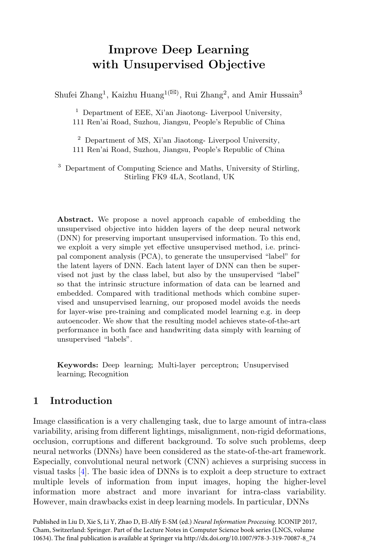# **Improve Deep Learning with Unsupervised Objective**

Shufei Zhang<sup>1</sup>, Kaizhu Huang<sup>1( $\boxtimes$ )</sup>, Rui Zhang<sup>2</sup>, and Amir Hussain<sup>3</sup>

<sup>1</sup> Department of EEE, Xi'an Jiaotong- Liverpool University, 111 Ren'ai Road, Suzhou, Jiangsu, People's Republic of China

<sup>2</sup> Department of MS, Xi'an Jiaotong- Liverpool University, 111 Ren'ai Road, Suzhou, Jiangsu, People's Republic of China

<sup>3</sup> Department of Computing Science and Maths, University of Stirling, Stirling FK9 4LA, Scotland, UK

**Abstract.** We propose a novel approach capable of embedding the unsupervised objective into hidden layers of the deep neural network (DNN) for preserving important unsupervised information. To this end, we exploit a very simple yet effective unsupervised method, i.e. principal component analysis (PCA), to generate the unsupervised "label" for the latent layers of DNN. Each latent layer of DNN can then be supervised not just by the class label, but also by the unsupervised "label" so that the intrinsic structure information of data can be learned and embedded. Compared with traditional methods which combine supervised and unsupervised learning, our proposed model avoids the needs for layer-wise pre-training and complicated model learning e.g. in deep autoencoder. We show that the resulting model achieves state-of-the-art performance in both face and handwriting data simply with learning of unsupervised "labels".

**Keywords:** Deep learning; Multi-layer perceptron; Unsupervised learning; Recognition

## **1 Introduction**

Image classification is a very challenging task, due to large amount of intra-class variability, arising from different lightings, misalignment, non-rigid deformations, occlusion, corruptions and different background. To solve such problems, deep neural networks (DNNs) have been considered as the state-of-the-art framework. Especially, convolutional neural network (CNN) achieves a surprising success in visual tasks [4]. [T](#page-7-0)he basic idea of DNNs is to exploit a deep structure to extract multiple levels of information from input images, hoping the higher-level information more abstract and more invariant for intra-class variability. However, main drawbacks exist in deep learning models. In particular, DNNs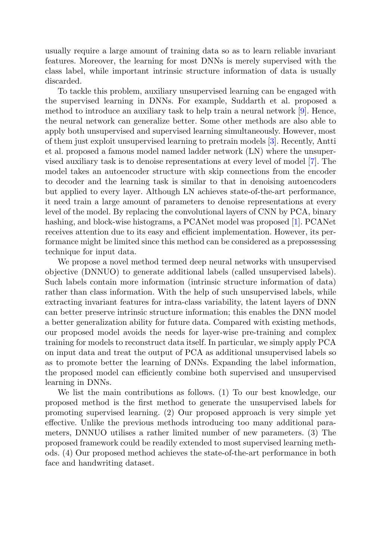usually require a large amount of training data so as to learn reliable invariant features. Moreover, the learning for most DNNs is merely supervised with the class label, while important intrinsic structure information of data is usually discarded.

To tackle this problem, auxiliary unsupervised learning can be engaged with the supervised learning in DNNs. For example, Suddarth et al. proposed a method to introduce an auxiliary task to help train a neural network [\[9\]](#page-8-0). Hence, the neural network can generalize better. Some other methods are also able to apply both unsupervised and supervised learning simultaneously. However, most of them just exploit unsupervised learning to pretrain models [\[3\]](#page-7-1). Recently, Antti et al. proposed a famous model named ladder network (LN) where the unsupervised auxiliary task is to denoise representations at every level of model [\[7\]](#page-7-2). The model takes an autoencoder structure with skip connections from the encoder to decoder and the learning task is similar to that in denoising autoencoders but applied to every layer. Although LN achieves state-of-the-art performance, it need train a large amount of parameters to denoise representations at every level of the model. By replacing the convolutional layers of CNN by PCA, binary hashing, and block-wise histograms, a PCANet model was proposed [\[1](#page-7-3)]. PCANet receives attention due to its easy and efficient implementation. However, its performance might be limited since this method can be considered as a prepossessing technique for input data.

We propose a novel method termed deep neural networks with unsupervised objective (DNNUO) to generate additional labels (called unsupervised labels). Such labels contain more information (intrinsic structure information of data) rather than class information. With the help of such unsupervised labels, while extracting invariant features for intra-class variability, the latent layers of DNN can better preserve intrinsic structure information; this enables the DNN model a better generalization ability for future data. Compared with existing methods, our proposed model avoids the needs for layer-wise pre-training and complex training for models to reconstruct data itself. In particular, we simply apply PCA on input data and treat the output of PCA as additional unsupervised labels so as to promote better the learning of DNNs. Expanding the label information, the proposed model can efficiently combine both supervised and unsupervised learning in DNNs.

We list the main contributions as follows. (1) To our best knowledge, our proposed method is the first method to generate the unsupervised labels for promoting supervised learning. (2) Our proposed approach is very simple yet effective. Unlike the previous methods introducing too many additional parameters, DNNUO utilises a rather limited number of new parameters. (3) The proposed framework could be readily extended to most supervised learning methods. (4) Our proposed method achieves the state-of-the-art performance in both face and handwriting dataset.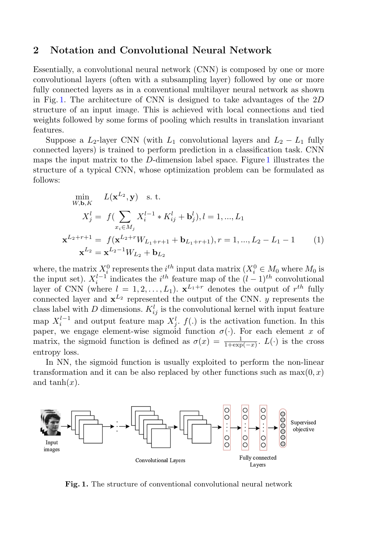### **2 Notation and Convolutional Neural Network**

Essentially, a convolutional neural network (CNN) is composed by one or more convolutional layers (often with a subsampling layer) followed by one or more fully connected layers as in a conventional multilayer neural network as shown in Fig. [1.](#page-2-0) The architecture of CNN is designed to take advantages of the 2D structure of an input image. This is achieved with local connections and tied weights followed by some forms of pooling which results in translation invariant features.

Suppose a  $L_2$ -layer CNN (with  $L_1$  convolutional layers and  $L_2 - L_1$  fully connected layers) is trained to perform prediction in a classification task. CNN maps the input matrix to the  $D$ -dimension label space. Figure [1](#page-2-0) illustrates the structure of a typical CNN, whose optimization problem can be formulated as follows:

$$
\min_{W, \mathbf{b}, K} L(\mathbf{x}^{L_2}, \mathbf{y}) \quad \text{s. t.}
$$
\n
$$
X_j^l = f\left(\sum_{x_i \in M_j} X_i^{l-1} * K_{ij}^l + \mathbf{b}_j^l\right), l = 1, ..., L_1
$$
\n
$$
\mathbf{x}^{L_2 + r + 1} = f\left(\mathbf{x}^{L_2 + r} W_{L_1 + r + 1} + \mathbf{b}_{L_1 + r + 1}\right), r = 1, ..., L_2 - L_1 - 1 \tag{1}
$$
\n
$$
\mathbf{x}^{L_2} = \mathbf{x}^{L_2 - 1} W_{L_2} + \mathbf{b}_{L_2}
$$

where, the matrix  $X_i^0$  represents the *i*<sup>th</sup> input data matrix  $(X_i^0 \in M_0$  where  $M_0$  is the input set).  $X_i^{l-1}$  indicates the *i*<sup>th</sup> feature map of the  $(l-1)^{th}$  convolutional layer of CNN (where  $l = 1, 2, ..., L_1$ ).  $\mathbf{x}^{L_1+r}$  denotes the output of  $r^{th}$  fully connected layer and  $\mathbf{x}^{L_2}$  represented the output of the CNN. y represents the class label with D dimensions.  $K_{ij}^l$  is the convolutional kernel with input feature map  $X_i^{l-1}$  and output feature map  $X_j^l$ .  $f(.)$  is the activation function. In this paper, we engage element-wise sigmoid function  $\sigma(\cdot)$ . For each element x of matrix, the sigmoid function is defined as  $\sigma(x) = \frac{1}{1 + \exp(-x)}$ .  $L(\cdot)$  is the cross entropy loss.

In NN, the sigmoid function is usually exploited to perform the non-linear transformation and it can be also replaced by other functions such as  $max(0, x)$ and tanh $(x)$ .



<span id="page-2-0"></span>**Fig. 1.** The structure of conventional convolutional neural network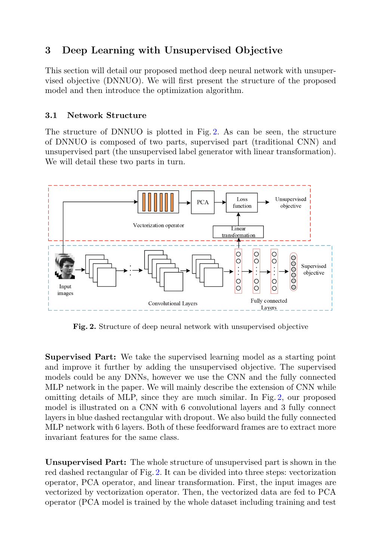# **3 Deep Learning with Unsupervised Objective**

This section will detail our proposed method deep neural network with unsupervised objective (DNNUO). We will first present the structure of the proposed model and then introduce the optimization algorithm.

### **3.1 Network Structure**

The structure of DNNUO is plotted in Fig. [2.](#page-3-0) As can be seen, the structure of DNNUO is composed of two parts, supervised part (traditional CNN) and unsupervised part (the unsupervised label generator with linear transformation). We will detail these two parts in turn.



**Fig. 2.** Structure of deep neural network with unsupervised objective

<span id="page-3-0"></span>**Supervised Part:** We take the supervised learning model as a starting point and improve it further by adding the unsupervised objective. The supervised models could be any DNNs, however we use the CNN and the fully connected MLP network in the paper. We will mainly describe the extension of CNN while omitting details of MLP, since they are much similar. In Fig. [2,](#page-3-0) our proposed model is illustrated on a CNN with 6 convolutional layers and 3 fully connect layers in blue dashed rectangular with dropout. We also build the fully connected MLP network with 6 layers. Both of these feedforward frames are to extract more invariant features for the same class.

**Unsupervised Part:** The whole structure of unsupervised part is shown in the red dashed rectangular of Fig. [2.](#page-3-0) It can be divided into three steps: vectorization operator, PCA operator, and linear transformation. First, the input images are vectorized by vectorization operator. Then, the vectorized data are fed to PCA operator (PCA model is trained by the whole dataset including training and test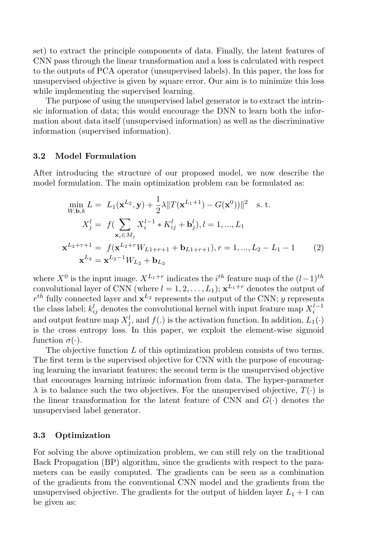set) to extract the principle components of data. Finally, the latent features of CNN pass through the linear transformation and a loss is calculated with respect to the outputs of PCA operator (unsupervised labels). In this paper, the loss for unsupervised objective is given by square error. Our aim is to minimize this loss while implementing the supervised learning.

The purpose of using the unsupervised label generator is to extract the intrinsic information of data; this would encourage the DNN to learn both the information about data itself (unsupervised information) as well as the discriminative information (supervised information).

#### **3.2 Model Formulation**

After introducing the structure of our proposed model, we now describe the model formulation. The main optimization problem can be formulated as:

$$
\min_{W,\mathbf{b},k} L = L_1(\mathbf{x}^{L_2}, \mathbf{y}) + \frac{1}{2}\lambda ||T(\mathbf{x}^{L_1+1}) - G(\mathbf{x}^0))||^2 \quad \text{s. t.}
$$
\n
$$
X_j^l = f\left(\sum_{\mathbf{x}_i \in M_j} X_i^{l-1} * K_{ij}^l + \mathbf{b}_j^l\right), l = 1, ..., L_1
$$
\n
$$
\mathbf{x}^{L_2+r+1} = f(\mathbf{x}^{L_2+r}W_{L_1+r+1} + \mathbf{b}_{L_1+r+1}), r = 1, ..., L_2 - L_1 - 1 \tag{2}
$$
\n
$$
\mathbf{x}^{L_2} = \mathbf{x}^{L_2-1}W_{L_2} + \mathbf{b}_{L_2}
$$

where  $X^0$  is the input image.  $X^{L_1+r}$  indicates the *i*<sup>th</sup> feature map of the  $(l-1)^{th}$ convolutional layer of CNN (where  $l = 1, 2, \ldots, L_1$ );  $\mathbf{x}^{L_1+r}$  denotes the output of  $r^{th}$  fully connected layer and  $\mathbf{x}^{L_2}$  represents the output of the CNN; y represents the class label;  $k_{ij}^l$  denotes the convolutional kernel with input feature map  $X_i^{l-1}$  and output feature map  $X_j^l$ , and  $f(.)$  is the activation function. In addition,  $L_1(.)$ is the cross entropy loss. In this paper, we exploit the element-wise sigmoid function  $\sigma(\cdot)$ .

The objective function  $L$  of this optimization problem consists of two terms. The first term is the supervised objective for CNN with the purpose of encouraging learning the invariant features; the second term is the unsupervised objective that encourages learning intrinsic information from data. The hyper-parameter  $\lambda$  is to balance such the two objectives. For the unsupervised objective,  $T(\cdot)$  is the linear transformation for the latent feature of CNN and  $G(\cdot)$  denotes the unsupervised label generator.

#### **3.3 Optimization**

For solving the above optimization problem, we can still rely on the traditional Back Propagation (BP) algorithm, since the gradients with respect to the parameters can be easily computed. The gradients can be seen as a combination of the gradients from the conventional CNN model and the gradients from the unsupervised objective. The gradients for the output of hidden layer  $L_1 + 1$  can be given as: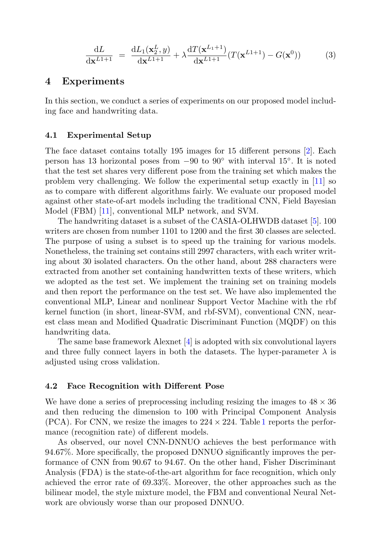$$
\frac{dL}{dx^{L1+1}} = \frac{dL_1(\mathbf{x}_2^L, y)}{d\mathbf{x}^{L1+1}} + \lambda \frac{dT(\mathbf{x}^{L1+1})}{d\mathbf{x}^{L1+1}} (T(\mathbf{x}^{L1+1}) - G(\mathbf{x}^0))
$$
(3)

### **4 Experiments**

In this section, we conduct a series of experiments on our proposed model including face and handwriting data.

#### **4.1 Experimental Setup**

The face dataset contains totally 195 images for 15 different persons [\[2\]](#page-7-4). Each person has 13 horizontal poses from −90 to 90◦ with interval 15◦. It is noted that the test set shares very different pose from the training set which makes the problem very challenging. We follow the experimental setup exactly in [\[11\]](#page-8-1) so as to compare with different algorithms fairly. We evaluate our proposed model against other state-of-art models including the traditional CNN, Field Bayesian Model (FBM) [\[11](#page-8-1)], conventional MLP network, and SVM.

The handwriting dataset is a subset of the CASIA-OLHWDB dataset [\[5](#page-7-5)]. 100 writers are chosen from number 1101 to 1200 and the first 30 classes are selected. The purpose of using a subset is to speed up the training for various models. Nonetheless, the training set contains still 2997 characters, with each writer writing about 30 isolated characters. On the other hand, about 288 characters were extracted from another set containing handwritten texts of these writers, which we adopted as the test set. We implement the training set on training models and then report the performance on the test set. We have also implemented the conventional MLP, Linear and nonlinear Support Vector Machine with the rbf kernel function (in short, linear-SVM, and rbf-SVM), conventional CNN, nearest class mean and Modified Quadratic Discriminant Function (MQDF) on this handwriting data.

The same base framework Alexnet [\[4](#page-7-0)] is adopted with six convolutional layers and three fully connect layers in both the datasets. The hyper-parameter  $\lambda$  is adjusted using cross validation.

#### **4.2 Face Recognition with Different Pose**

We have done a series of preprocessing including resizing the images to  $48 \times 36$ and then reducing the dimension to 100 with Principal Component Analysis  $(PCA)$ . For CNN, we resize the images to  $224 \times 224$ . Table [1](#page-6-0) reports the performance (recognition rate) of different models.

As observed, our novel CNN-DNNUO achieves the best performance with 94.67%. More specifically, the proposed DNNUO significantly improves the performance of CNN from 90.67 to 94.67. On the other hand, Fisher Discriminant Analysis (FDA) is the state-of-the-art algorithm for face recognition, which only achieved the error rate of 69.33%. Moreover, the other approaches such as the bilinear model, the style mixture model, the FBM and conventional Neural Network are obviously worse than our proposed DNNUO.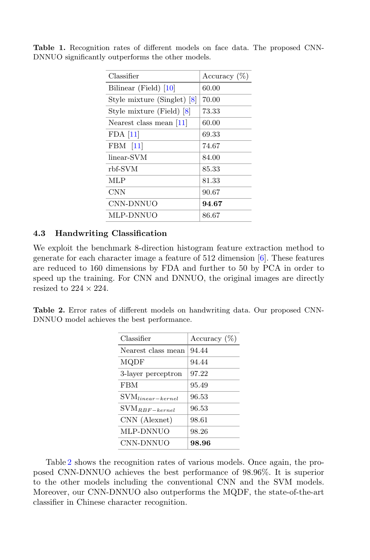| Classifier                  | Accuracy $(\%)$ |
|-----------------------------|-----------------|
| Bilinear (Field) $[10]$     | 60.00           |
| Style mixture (Singlet) [8] | 70.00           |
| Style mixture (Field) [8]   | 73.33           |
| Nearest class mean $ 11 $   | 60.00           |
| $FDA$ [11]                  | 69.33           |
| FBM [11]                    | 74.67           |
| linear-SVM                  | 84.00           |
| rbf-SVM                     | 85.33           |
| MLP                         | 81.33           |
| CNN                         | 90.67           |
| CNN-DNNUO                   | 94.67           |
| MLP-DNNUO                   | 86.67           |

<span id="page-6-0"></span>**Table 1.** Recognition rates of different models on face data. The proposed CNN-DNNUO significantly outperforms the other models.

#### **4.3 Handwriting Classification**

We exploit the benchmark 8-direction histogram feature extraction method to generate for each character image a feature of 512 dimension [\[6\]](#page-7-7). These features are reduced to 160 dimensions by FDA and further to 50 by PCA in order to speed up the training. For CNN and DNNUO, the original images are directly resized to  $224 \times 224$ .

<span id="page-6-1"></span>**Table 2.** Error rates of different models on handwriting data. Our proposed CNN-DNNUO model achieves the best performance.

| Classifier                   | Accuracy $(\%)$ |
|------------------------------|-----------------|
| Nearest class mean           | 94.44           |
| MQDF                         | 94.44           |
| 3-layer perceptron           | 97.22           |
| <b>FBM</b>                   | 95.49           |
| $\text{SVM}_{linear-kernel}$ | 96.53           |
| $\text{SVM}_{RBF-kernel}$    | 96.53           |
| CNN (Alexnet)                | 98.61           |
| MLP-DNNUO                    | 98.26           |
| CNN-DNNUO                    | 98.96           |

Table [2](#page-6-1) shows the recognition rates of various models. Once again, the proposed CNN-DNNUO achieves the best performance of 98.96%. It is superior to the other models including the conventional CNN and the SVM models. Moreover, our CNN-DNNUO also outperforms the MQDF, the state-of-the-art classifier in Chinese character recognition.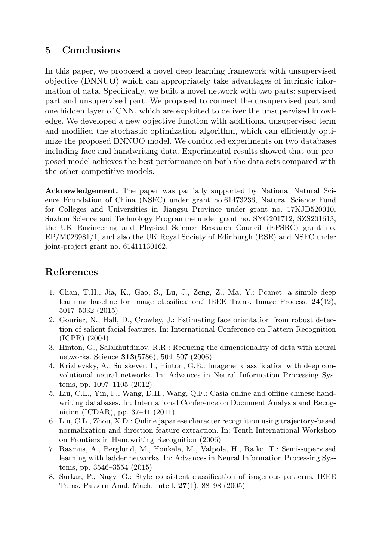# **5 Conclusions**

In this paper, we proposed a novel deep learning framework with unsupervised objective (DNNUO) which can appropriately take advantages of intrinsic information of data. Specifically, we built a novel network with two parts: supervised part and unsupervised part. We proposed to connect the unsupervised part and one hidden layer of CNN, which are exploited to deliver the unsupervised knowledge. We developed a new objective function with additional unsupervised term and modified the stochastic optimization algorithm, which can efficiently optimize the proposed DNNUO model. We conducted experiments on two databases including face and handwriting data. Experimental results showed that our proposed model achieves the best performance on both the data sets compared with the other competitive models.

**Acknowledgement.** The paper was partially supported by National Natural Science Foundation of China (NSFC) under grant no.61473236, Natural Science Fund for Colleges and Universities in Jiangsu Province under grant no. 17KJD520010, Suzhou Science and Technology Programme under grant no. SYG201712, SZS201613, the UK Engineering and Physical Science Research Council (EPSRC) grant no. EP/M026981/1, and also the UK Royal Society of Edinburgh (RSE) and NSFC under joint-project grant no. 61411130162.

## <span id="page-7-3"></span>**References**

- 1. Chan, T.H., Jia, K., Gao, S., Lu, J., Zeng, Z., Ma, Y.: Pcanet: a simple deep learning baseline for image classification? IEEE Trans. Image Process. **24**(12), 5017–5032 (2015)
- <span id="page-7-4"></span>2. Gourier, N., Hall, D., Crowley, J.: Estimating face orientation from robust detection of salient facial features. In: International Conference on Pattern Recognition (ICPR) (2004)
- <span id="page-7-1"></span>3. Hinton, G., Salakhutdinov, R.R.: Reducing the dimensionality of data with neural networks. Science **313**(5786), 504–507 (2006)
- <span id="page-7-0"></span>4. Krizhevsky, A., Sutskever, I., Hinton, G.E.: Imagenet classification with deep convolutional neural networks. In: Advances in Neural Information Processing Systems, pp. 1097–1105 (2012)
- <span id="page-7-5"></span>5. Liu, C.L., Yin, F., Wang, D.H., Wang, Q.F.: Casia online and offline chinese handwriting databases. In: International Conference on Document Analysis and Recognition (ICDAR), pp. 37–41 (2011)
- <span id="page-7-7"></span>6. Liu, C.L., Zhou, X.D.: Online japanese character recognition using trajectory-based normalization and direction feature extraction. In: Tenth International Workshop on Frontiers in Handwriting Recognition (2006)
- <span id="page-7-2"></span>7. Rasmus, A., Berglund, M., Honkala, M., Valpola, H., Raiko, T.: Semi-supervised learning with ladder networks. In: Advances in Neural Information Processing Systems, pp. 3546–3554 (2015)
- <span id="page-7-6"></span>8. Sarkar, P., Nagy, G.: Style consistent classification of isogenous patterns. IEEE Trans. Pattern Anal. Mach. Intell. **27**(1), 88–98 (2005)